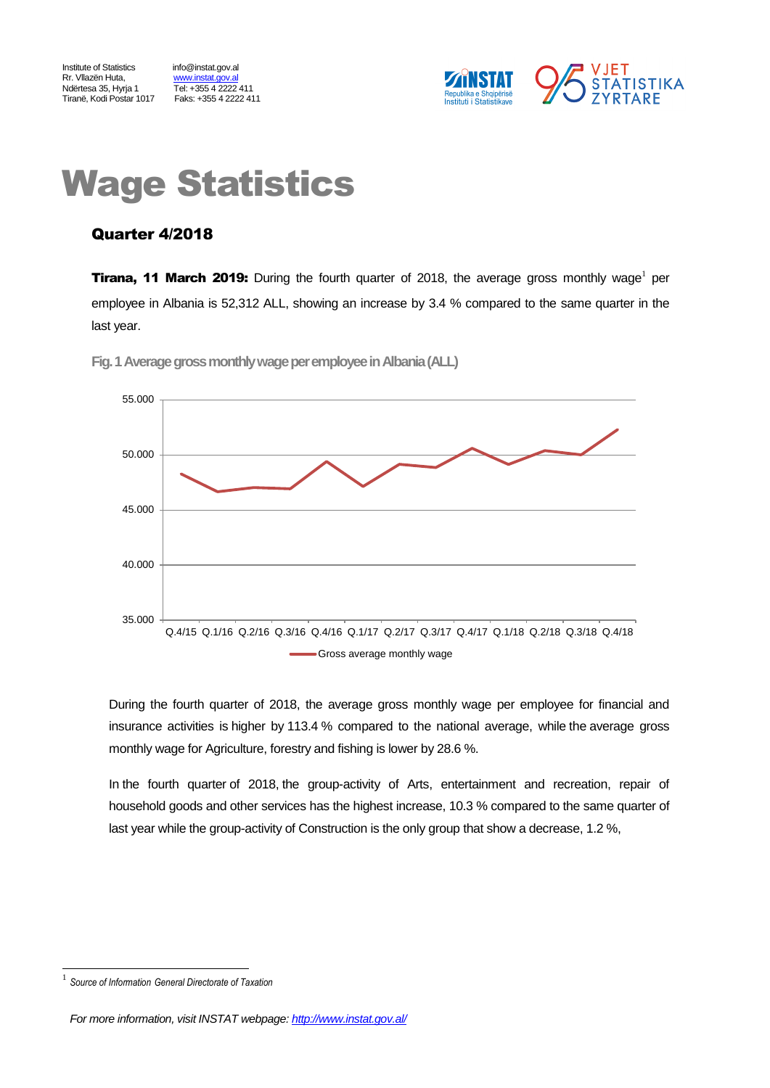Institute of Statistics info@instat.gov.al Rr. Vllazën Huta, metaloristat.gov.al<br>Ndërtesa 35. Hyria 1 Tiranë, Kodi Postar 1017

<u>Himmis Sungensa</u><br>Tel: +355 4 2222 411<br>Faks: +355 4 2222 411



# Wage Statistics

### Quarter 4/2018

**Tirana, 11 March 2019:** During the fourth quarter of 2018, the average gross monthly wage<sup>1</sup> per employee in Albania is 52,312 ALL, showing an increase by 3.4 % compared to the same quarter in the last year.



Fig. 1 Average gross monthly wage per employee in Albania (ALL)

During the fourth quarter of 2018, the average gross monthly wage per employee for financial and insurance activities is higher by 113.4 % compared to the national average, while the average gross monthly wage for Agriculture, forestry and fishing is lower by 28.6 %.

In the fourth quarter of 2018, the group-activity of Arts, entertainment and recreation, repair of household goods and other services has the highest increase, 10.3 % compared to the same quarter of last year while the group-activity of Construction is the only group that show a decrease, 1.2 %,

l 1

*Source of Information General Directorate of Taxation*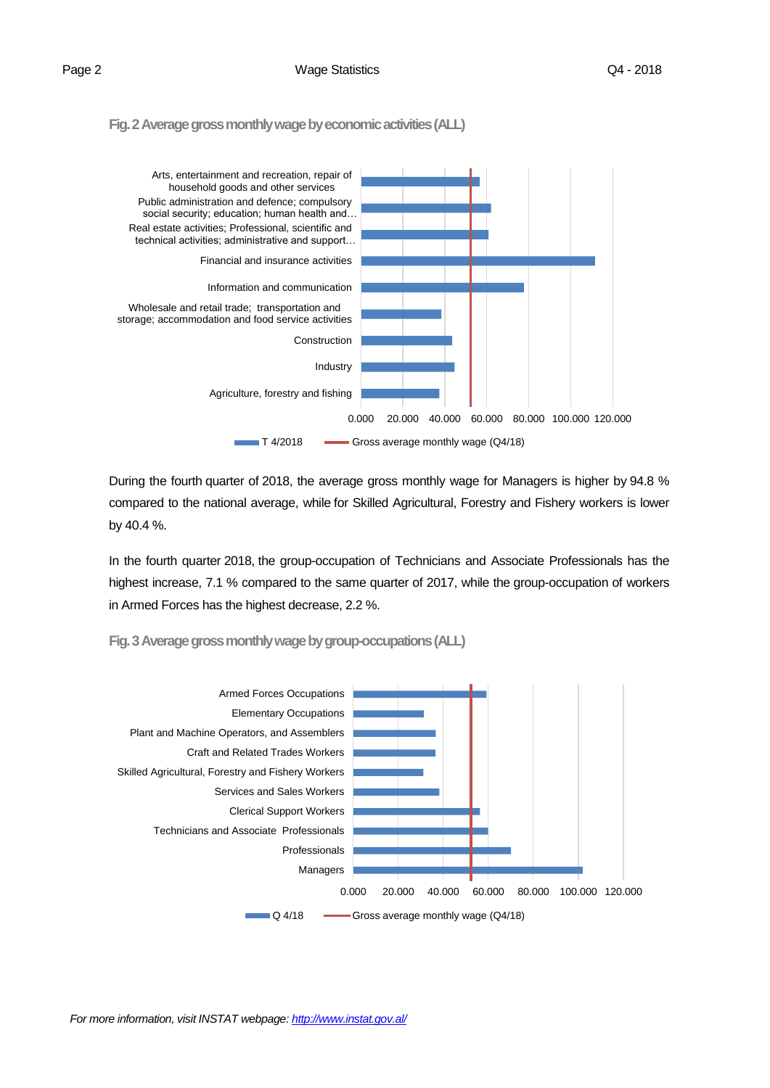**Fig. 2 Average gross monthly wage by economic activities(ALL)**



During the fourth quarter of 2018, the average gross monthly wage for Managers is higher by 94.8 % compared to the national average, while for Skilled Agricultural, Forestry and Fishery workers is lower by 40.4 %.

In the fourth quarter 2018, the group-occupation of Technicians and Associate Professionals has the highest increase, 7.1 % compared to the same quarter of 2017, while the group-occupation of workers in Armed Forces has the highest decrease, 2.2 %.

**Fig. 3Average gross monthly wage by group-occupations(ALL)**

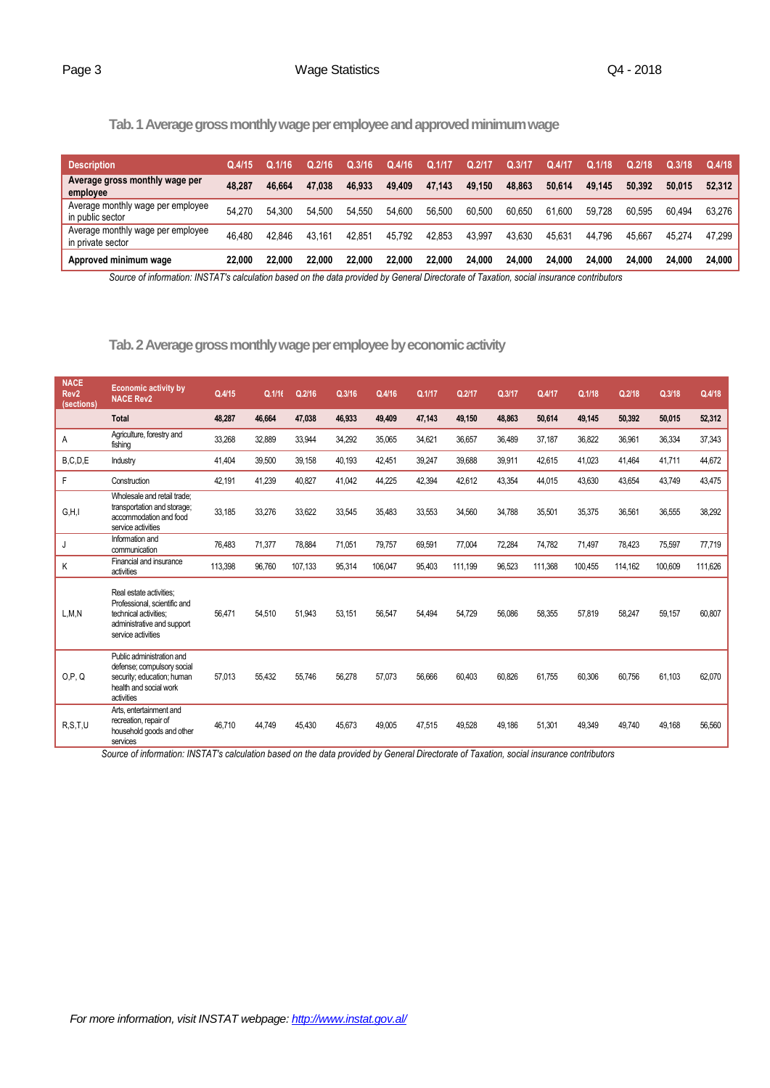### **Tab. 1 Average gross monthly wage per employee and approved minimum wage**

| <b>Description</b>                                     | Q.4/15 | Q.1/16 | Q.2/16 | J.3/16 | Q.4/16 | Q.1/17 | Q.2/17 | <b>ALL</b> | Q.4/1  | Q.1/18 | Q.2/18 | Q.3/18 | Q.4/18 |
|--------------------------------------------------------|--------|--------|--------|--------|--------|--------|--------|------------|--------|--------|--------|--------|--------|
| Average gross monthly wage per<br>employee             | 48.287 | 46.664 | 47.038 | 46.933 | 49,409 | 47.143 | 49.150 | 48.863     | 50.614 | 49.145 | 50.392 | 50.015 | 52.312 |
| Average monthly wage per employee<br>in public sector  | 54.270 | 54.300 | 54.500 | 54.550 | 54.600 | 56.500 | 60.500 | 60.650     | 61.600 | 59.728 | 60.595 | 60.494 | 63.276 |
| Average monthly wage per employee<br>in private sector | 46.480 | 42.846 | 43.161 | 42.851 | 45.792 | 42.853 | 43.997 | 43.630     | 45.631 | 44.796 | 45.667 | 45.274 | 47.299 |
| Approved minimum wage                                  | 22,000 | 22.000 | 22.000 | 22.000 | 22,000 | 22.000 | 24.000 | 24.000     | 24.000 | 24.000 | 24.000 | 24.000 | 24.000 |

*Source of information: INSTAT's calculation based on the data provided by General Directorate of Taxation, social insurance contributors*

Tab. 2 Average gross monthly wage per employee by economic activity

| <b>NACE</b><br>Rev <sub>2</sub><br>(sections) | <b>Economic activity by</b><br><b>NACE Rev2</b>                                                                                      | Q.4/15  | Q.1/16 | Q.2/16  | Q.3/16 | Q.4/16  | Q.1/17 | Q.2/17  | Q.3/17 | Q.4/17  | Q.1/18  | Q.2/18  | Q.3/18  | Q.4/18  |
|-----------------------------------------------|--------------------------------------------------------------------------------------------------------------------------------------|---------|--------|---------|--------|---------|--------|---------|--------|---------|---------|---------|---------|---------|
|                                               | <b>Total</b>                                                                                                                         | 48,287  | 46,664 | 47,038  | 46,933 | 49,409  | 47,143 | 49,150  | 48,863 | 50,614  | 49,145  | 50,392  | 50,015  | 52,312  |
| A                                             | Agriculture, forestry and<br>fishing                                                                                                 | 33,268  | 32,889 | 33,944  | 34,292 | 35,065  | 34,621 | 36,657  | 36,489 | 37,187  | 36,822  | 36,961  | 36,334  | 37,343  |
| B, C, D, E                                    | Industry                                                                                                                             | 41.404  | 39,500 | 39,158  | 40,193 | 42.451  | 39,247 | 39.688  | 39,911 | 42.615  | 41,023  | 41.464  | 41,711  | 44,672  |
| F                                             | Construction                                                                                                                         | 42,191  | 41,239 | 40,827  | 41,042 | 44,225  | 42,394 | 42,612  | 43,354 | 44,015  | 43,630  | 43,654  | 43,749  | 43,475  |
| G, H, I                                       | Wholesale and retail trade:<br>transportation and storage;<br>accommodation and food<br>service activities                           | 33,185  | 33,276 | 33,622  | 33,545 | 35,483  | 33,553 | 34,560  | 34,788 | 35,501  | 35,375  | 36,561  | 36,555  | 38,292  |
| J                                             | Information and<br>communication                                                                                                     | 76,483  | 71,377 | 78,884  | 71,051 | 79,757  | 69,591 | 77,004  | 72,284 | 74,782  | 71,497  | 78,423  | 75,597  | 77,719  |
| K                                             | Financial and insurance<br>activities                                                                                                | 113,398 | 96,760 | 107,133 | 95,314 | 106,047 | 95,403 | 111,199 | 96,523 | 111,368 | 100,455 | 114,162 | 100,609 | 111,626 |
| L, M, N                                       | Real estate activities:<br>Professional, scientific and<br>technical activities:<br>administrative and support<br>service activities | 56.471  | 54,510 | 51,943  | 53.151 | 56.547  | 54.494 | 54.729  | 56,086 | 58.355  | 57,819  | 58.247  | 59,157  | 60,807  |
| O.P. Q                                        | Public administration and<br>defense; compulsory social<br>security; education; human<br>health and social work<br>activities        | 57,013  | 55,432 | 55,746  | 56,278 | 57,073  | 56,666 | 60,403  | 60,826 | 61,755  | 60,306  | 60,756  | 61,103  | 62,070  |
| R, S, T, U                                    | Arts, entertainment and<br>recreation, repair of<br>household goods and other<br>services                                            | 46.710  | 44.749 | 45.430  | 45,673 | 49.005  | 47.515 | 49.528  | 49.186 | 51.301  | 49.349  | 49.740  | 49.168  | 56,560  |

*Source of information: INSTAT's calculation based on the data provided by General Directorate of Taxation, social insurance contributors*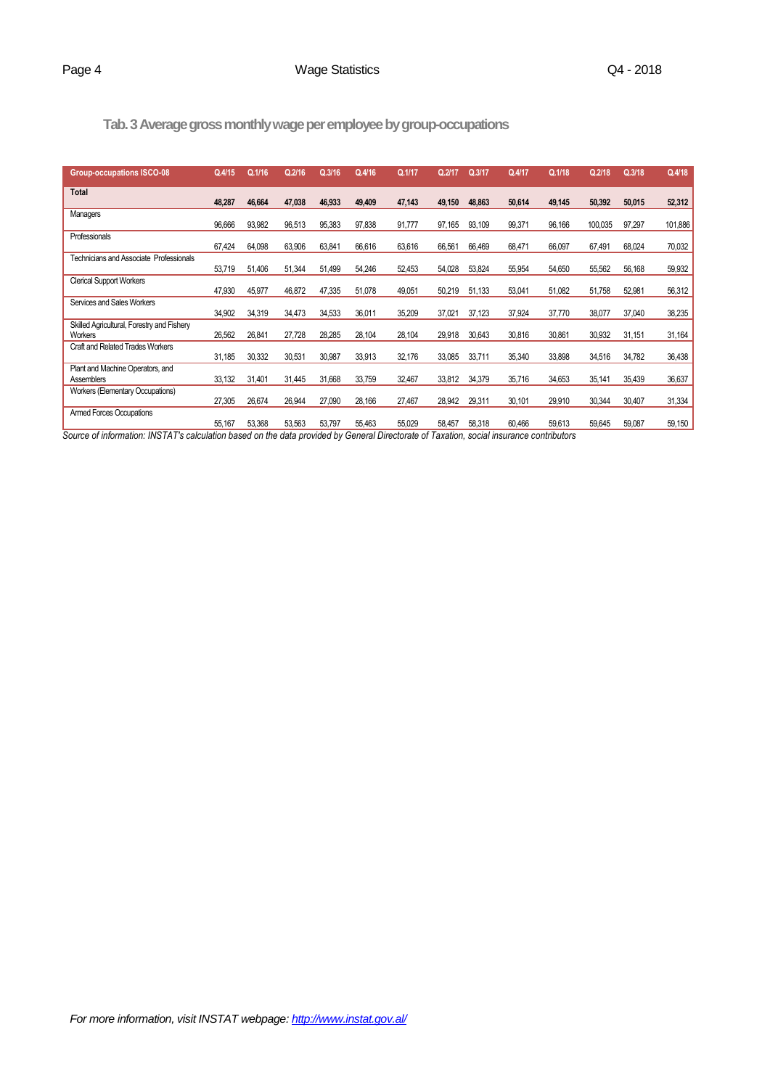## **Tab.3Average gross monthly wage per employee by group-occupations**

| <b>Group-occupations ISCO-08</b>                             | Q.4/15 | Q.1/16 | Q.2/16 | Q.3/16 | Q.4/16 | Q.1/17 | Q.2/17 | Q.3/17 | Q.4/17 | Q.1/18 | Q.2/18  | Q.3/18 | Q.4/18  |
|--------------------------------------------------------------|--------|--------|--------|--------|--------|--------|--------|--------|--------|--------|---------|--------|---------|
| <b>Total</b>                                                 | 48,287 | 46,664 | 47,038 | 46,933 | 49,409 | 47,143 | 49,150 | 48,863 | 50,614 | 49,145 | 50,392  | 50,015 | 52,312  |
| Managers                                                     | 96,666 | 93,982 | 96,513 | 95,383 | 97,838 | 91,777 | 97,165 | 93,109 | 99,371 | 96,166 | 100,035 | 97,297 | 101,886 |
| Professionals                                                | 67,424 | 64,098 | 63,906 | 63,841 | 66,616 | 63,616 | 66,561 | 66,469 | 68,471 | 66,097 | 67,491  | 68,024 | 70,032  |
| <b>Technicians and Associate Professionals</b>               | 53,719 | 51,406 | 51,344 | 51,499 | 54,246 | 52,453 | 54,028 | 53,824 | 55,954 | 54,650 | 55,562  | 56,168 | 59,932  |
| <b>Clerical Support Workers</b>                              | 47,930 | 45,977 | 46,872 | 47,335 | 51,078 | 49,051 | 50,219 | 51,133 | 53,041 | 51,082 | 51,758  | 52,981 | 56,312  |
| Services and Sales Workers                                   | 34,902 | 34,319 | 34,473 | 34,533 | 36,011 | 35,209 | 37,021 | 37,123 | 37,924 | 37,770 | 38,077  | 37,040 | 38,235  |
| Skilled Agricultural, Forestry and Fishery<br><b>Workers</b> | 26,562 | 26,841 | 27,728 | 28,285 | 28,104 | 28,104 | 29,918 | 30,643 | 30,816 | 30,861 | 30,932  | 31,151 | 31,164  |
| Craft and Related Trades Workers                             | 31,185 | 30,332 | 30,531 | 30,987 | 33,913 | 32,176 | 33,085 | 33,711 | 35,340 | 33,898 | 34,516  | 34,782 | 36,438  |
| Plant and Machine Operators, and<br><b>Assemblers</b>        | 33,132 | 31,401 | 31,445 | 31,668 | 33,759 | 32,467 | 33,812 | 34,379 | 35,716 | 34,653 | 35,141  | 35,439 | 36,637  |
| Workers (Elementary Occupations)                             | 27,305 | 26,674 | 26,944 | 27,090 | 28,166 | 27,467 | 28,942 | 29,311 | 30,101 | 29,910 | 30,344  | 30,407 | 31,334  |
| Armed Forces Occupations                                     | 55,167 | 53,368 | 53,563 | 53,797 | 55,463 | 55,029 | 58,457 | 58,318 | 60,466 | 59,613 | 59,645  | 59,087 | 59,150  |

*Source of information: INSTAT's calculation based on the data provided by General Directorate of Taxation, social insurance contributors*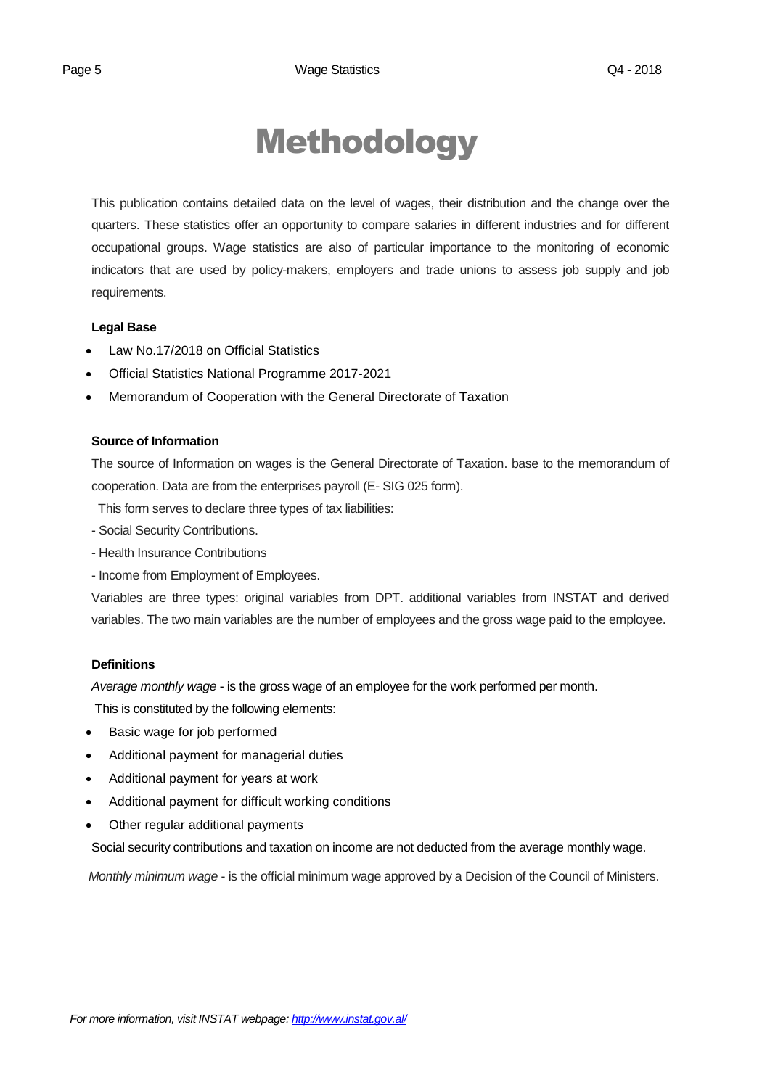## Methodology

This publication contains detailed data on the level of wages, their distribution and the change over the quarters. These statistics offer an opportunity to compare salaries in different industries and for different occupational groups. Wage statistics are also of particular importance to the monitoring of economic indicators that are used by policy-makers, employers and trade unions to assess job supply and job requirements.

### **Legal Base**

- [Law No.17/2018 on Official Statistics](http://instat.gov.al/media/3972/law-no17-2018-on-official-statistics.pdf)
- Official Statistics National Programme 2017-2021
- Memorandum of Cooperation with the General Directorate of Taxation

### **Source of Information**

The source of Information on wages is the General Directorate of Taxation. base to the memorandum of cooperation. Data are from the enterprises payroll (E- SIG 025 form).

This form serves to declare three types of tax liabilities:

- Social Security Contributions.
- Health Insurance Contributions
- Income from Employment of Employees.

Variables are three types: original variables from DPT. additional variables from INSTAT and derived variables. The two main variables are the number of employees and the gross wage paid to the employee.

### **Definitions**

*Average monthly wage* - is the gross wage of an employee for the work performed per month.

This is constituted by the following elements:

- Basic wage for job performed
- Additional payment for managerial duties
- Additional payment for years at work
- Additional payment for difficult working conditions
- Other regular additional payments

Social security contributions and taxation on income are not deducted from the average monthly wage.

*Monthly minimum wage* - is the official minimum wage approved by a Decision of the Council of Ministers.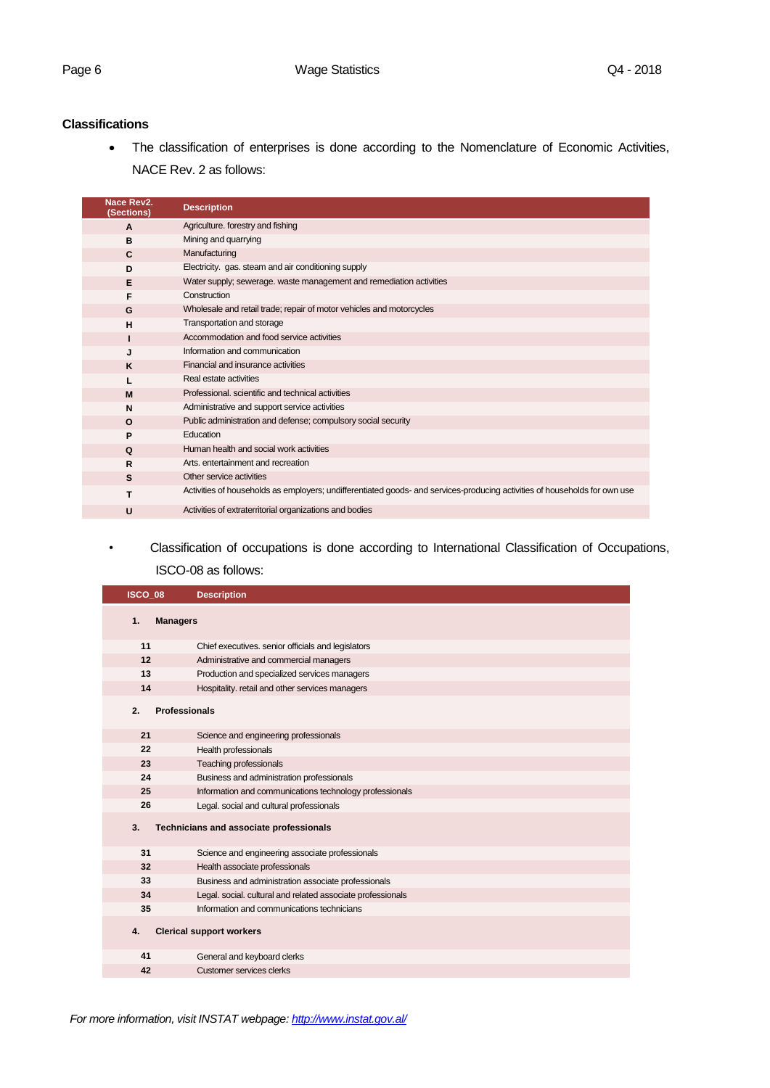### **Classifications**

 The classification of enterprises is done according to the Nomenclature of Economic Activities, NACE Rev. 2 as follows:

| Nace Rev2.<br>(Sections) | <b>Description</b>                                                                                                         |
|--------------------------|----------------------------------------------------------------------------------------------------------------------------|
| A                        | Agriculture. forestry and fishing                                                                                          |
| в                        | Mining and quarrying                                                                                                       |
| C                        | Manufacturing                                                                                                              |
| D                        | Electricity. gas. steam and air conditioning supply                                                                        |
| Е                        | Water supply; sewerage. waste management and remediation activities                                                        |
| F                        | Construction                                                                                                               |
| G                        | Wholesale and retail trade; repair of motor vehicles and motorcycles                                                       |
| н                        | Transportation and storage                                                                                                 |
|                          | Accommodation and food service activities                                                                                  |
| J                        | Information and communication                                                                                              |
| K                        | Financial and insurance activities                                                                                         |
|                          | Real estate activities                                                                                                     |
| M                        | Professional, scientific and technical activities                                                                          |
| N                        | Administrative and support service activities                                                                              |
| $\Omega$                 | Public administration and defense; compulsory social security                                                              |
| P                        | Education                                                                                                                  |
| Q                        | Human health and social work activities                                                                                    |
| R                        | Arts, entertainment and recreation                                                                                         |
| S                        | Other service activities                                                                                                   |
| т                        | Activities of households as employers; undifferentiated goods- and services-producing activities of households for own use |
| U                        | Activities of extraterritorial organizations and bodies                                                                    |

*•* Classification of occupations is done according to International Classification of Occupations, ISCO-08 as follows:

| ISCO 08 | <b>Description</b>                                          |
|---------|-------------------------------------------------------------|
| 1.      | <b>Managers</b>                                             |
| 11      | Chief executives. senior officials and legislators          |
| 12      | Administrative and commercial managers                      |
| 13      | Production and specialized services managers                |
| 14      | Hospitality. retail and other services managers             |
| 2.      | <b>Professionals</b>                                        |
| 21      | Science and engineering professionals                       |
| 22      | Health professionals                                        |
| 23      | <b>Teaching professionals</b>                               |
| 24      | Business and administration professionals                   |
| 25      | Information and communications technology professionals     |
| 26      | Legal. social and cultural professionals                    |
| 3.      | Technicians and associate professionals                     |
| 31      | Science and engineering associate professionals             |
| 32      | Health associate professionals                              |
| 33      | Business and administration associate professionals         |
| 34      | Legal. social. cultural and related associate professionals |
| 35      | Information and communications technicians                  |
| 4.      | <b>Clerical support workers</b>                             |
| 41      | General and keyboard clerks                                 |
| 42      | Customer services clerks                                    |